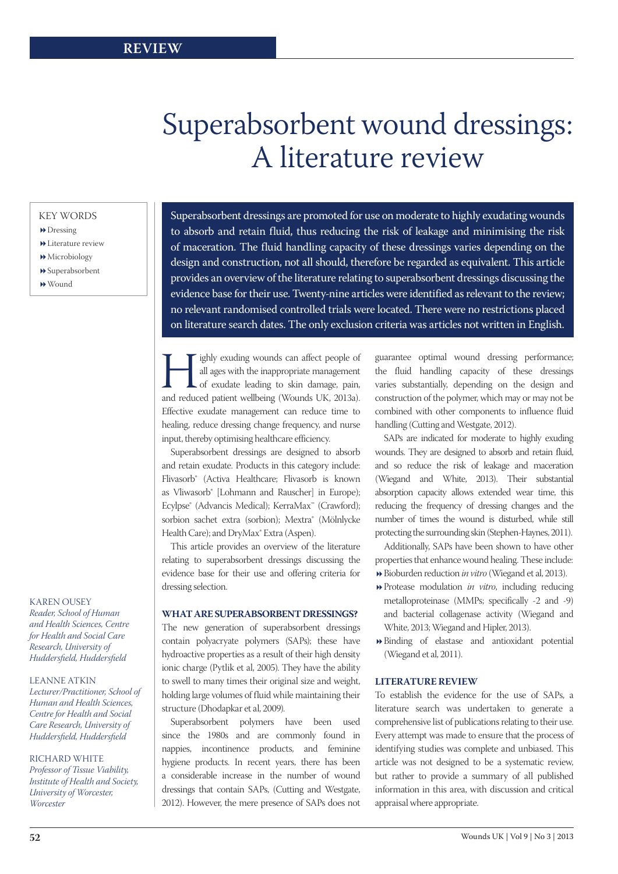# Superabsorbent wound dressings: A literature review

# KEY WORDS

- **Dressing**
- Literature review
- $\rightarrow$  Microbiology
- Superabsorbent
- Wound

Superabsorbent dressings are promoted for use on moderate to highly exudating wounds to absorb and retain fluid, thus reducing the risk of leakage and minimising the risk of maceration. The fluid handling capacity of these dressings varies depending on the design and construction, not all should, therefore be regarded as equivalent. This article provides an overview of the literature relating to superabsorbent dressings discussing the evidence base for their use. Twenty-nine articles were identified as relevant to the review; no relevant randomised controlled trials were located. There were no restrictions placed on literature search dates. The only exclusion criteria was articles not written in English.

Fighly exuding wounds can affect people of all ages with the inappropriate management of exudate leading to skin damage, pain, and reduced patient wellbeing (Wounds UK, 2013a). all ages with the inappropriate management of exudate leading to skin damage, pain, Effective exudate management can reduce time to healing, reduce dressing change frequency, and nurse input, thereby optimising healthcare efficiency.

Superabsorbent dressings are designed to absorb and retain exudate. Products in this category include: Flivasorb® (Activa Healthcare; Flivasorb is known as Vliwasorb® [Lohmann and Rauscher] in Europe); Ecylpse® (Advancis Medical); KerraMax™ (Crawford); sorbion sachet extra (sorbion); Mextra® (Mölnlycke Health Care); and DryMax<sup>®</sup> Extra (Aspen).

This article provides an overview of the literature relating to superabsorbent dressings discussing the evidence base for their use and offering criteria for dressing selection.

# **What are superabsorbent dressings?**

The new generation of superabsorbent dressings contain polyacryate polymers (SAPs); these have hydroactive properties as a result of their high density ionic charge (Pytlik et al, 2005). They have the ability to swell to many times their original size and weight, holding large volumes of fluid while maintaining their structure (Dhodapkar et al, 2009).

Superabsorbent polymers have been used since the 1980s and are commonly found in nappies, incontinence products, and feminine hygiene products. In recent years, there has been a considerable increase in the number of wound dressings that contain SAPs, (Cutting and Westgate, 2012). However, the mere presence of SAPs does not

guarantee optimal wound dressing performance; the fluid handling capacity of these dressings varies substantially, depending on the design and construction of the polymer, which may or may not be combined with other components to influence fluid handling (Cutting and Westgate, 2012).

SAPs are indicated for moderate to highly exuding wounds. They are designed to absorb and retain fluid, and so reduce the risk of leakage and maceration (Wiegand and White, 2013). Their substantial absorption capacity allows extended wear time, this reducing the frequency of dressing changes and the number of times the wound is disturbed, while still protecting the surrounding skin (Stephen-Haynes, 2011).

Additionally, SAPs have been shown to have other properties that enhance wound healing. These include: Bioburden reduction *in vitro* (Wiegand et al, 2013).

- Protease modulation *in vitro*, including reducing metalloproteinase (MMPs; specifically -2 and -9) and bacterial collagenase activity (Wiegand and White, 2013; Wiegand and Hipler, 2013).
- Binding of elastase and antioxidant potential (Wiegand et al, 2011).

# **Literature review**

To establish the evidence for the use of SAPs, a literature search was undertaken to generate a comprehensive list of publications relating to their use. Every attempt was made to ensure that the process of identifying studies was complete and unbiased. This article was not designed to be a systematic review, but rather to provide a summary of all published information in this area, with discussion and critical appraisal where appropriate.

# Karen Ousey

*Reader, School of Human and Health Sciences, Centre for Health and Social Care Research, University of Huddersfield, Huddersfield*

# Leanne Atkin

*Lecturer/Practitioner, School of Human and Health Sciences, Centre for Health and Social Care Research, University of Huddersfield, Huddersfield*

# Richard White

*Professor of Tissue Viability, Institute of Health and Society, University of Worcester, Worcester*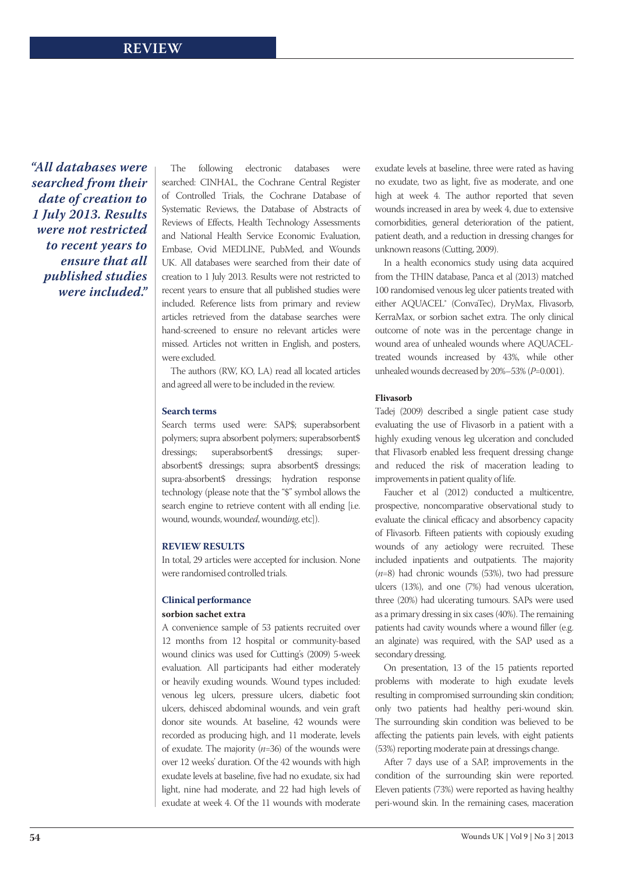*"All databases were searched from their date of creation to 1 July 2013. Results were not restricted to recent years to ensure that all published studies were included."*

The following electronic databases were searched: CINHAL, the Cochrane Central Register of Controlled Trials, the Cochrane Database of Systematic Reviews, the Database of Abstracts of Reviews of Effects, Health Technology Assessments and National Health Service Economic Evaluation, Embase, Ovid MEDLINE, PubMed, and Wounds UK. All databases were searched from their date of creation to 1 July 2013. Results were not restricted to recent years to ensure that all published studies were included. Reference lists from primary and review articles retrieved from the database searches were hand-screened to ensure no relevant articles were missed. Articles not written in English, and posters, were excluded.

The authors (RW, KO, LA) read all located articles and agreed all were to be included in the review.

#### **Search terms**

Search terms used were: SAP\$; superabsorbent polymers; supra absorbent polymers; superabsorbent\$ dressings; superabsorbent\$ dressings; superabsorbent\$ dressings; supra absorbent\$ dressings; supra-absorbent\$ dressings; hydration response technology (please note that the "\$" symbol allows the search engine to retrieve content with all ending [i.e. wound, wound*s*, wound*ed*, wound*ing*, etc]).

# **Review results**

In total, 29 articles were accepted for inclusion. None were randomised controlled trials.

# **Clinical performance sorbion sachet extra**

A convenience sample of 53 patients recruited over 12 months from 12 hospital or community-based wound clinics was used for Cutting's (2009) 5-week evaluation. All participants had either moderately or heavily exuding wounds. Wound types included: venous leg ulcers, pressure ulcers, diabetic foot ulcers, dehisced abdominal wounds, and vein graft donor site wounds. At baseline, 42 wounds were recorded as producing high, and 11 moderate, levels of exudate. The majority (*n*=36) of the wounds were over 12 weeks' duration. Of the 42 wounds with high exudate levels at baseline, five had no exudate, six had light, nine had moderate, and 22 had high levels of exudate at week 4. Of the 11 wounds with moderate

exudate levels at baseline, three were rated as having no exudate, two as light, five as moderate, and one high at week 4. The author reported that seven wounds increased in area by week 4, due to extensive comorbidities, general deterioration of the patient, patient death, and a reduction in dressing changes for unknown reasons (Cutting, 2009).

In a health economics study using data acquired from the THIN database, Panca et al (2013) matched 100 randomised venous leg ulcer patients treated with either AQUACEL® (ConvaTec), DryMax, Flivasorb, KerraMax, or sorbion sachet extra. The only clinical outcome of note was in the percentage change in wound area of unhealed wounds where AQUACELtreated wounds increased by 43%, while other unhealed wounds decreased by 20%–53% (*P*=0.001).

#### **Flivasorb**

Tadej (2009) described a single patient case study evaluating the use of Flivasorb in a patient with a highly exuding venous leg ulceration and concluded that Flivasorb enabled less frequent dressing change and reduced the risk of maceration leading to improvements in patient quality of life.

Faucher et al (2012) conducted a multicentre, prospective, noncomparative observational study to evaluate the clinical efficacy and absorbency capacity of Flivasorb. Fifteen patients with copiously exuding wounds of any aetiology were recruited. These included inpatients and outpatients. The majority (*n*=8) had chronic wounds (53%), two had pressure ulcers (13%), and one (7%) had venous ulceration, three (20%) had ulcerating tumours. SAPs were used as a primary dressing in six cases (40%). The remaining patients had cavity wounds where a wound filler (e.g. an alginate) was required, with the SAP used as a secondary dressing.

On presentation, 13 of the 15 patients reported problems with moderate to high exudate levels resulting in compromised surrounding skin condition; only two patients had healthy peri-wound skin. The surrounding skin condition was believed to be affecting the patients pain levels, with eight patients (53%) reporting moderate pain at dressings change.

After 7 days use of a SAP, improvements in the condition of the surrounding skin were reported. Eleven patients (73%) were reported as having healthy peri-wound skin. In the remaining cases, maceration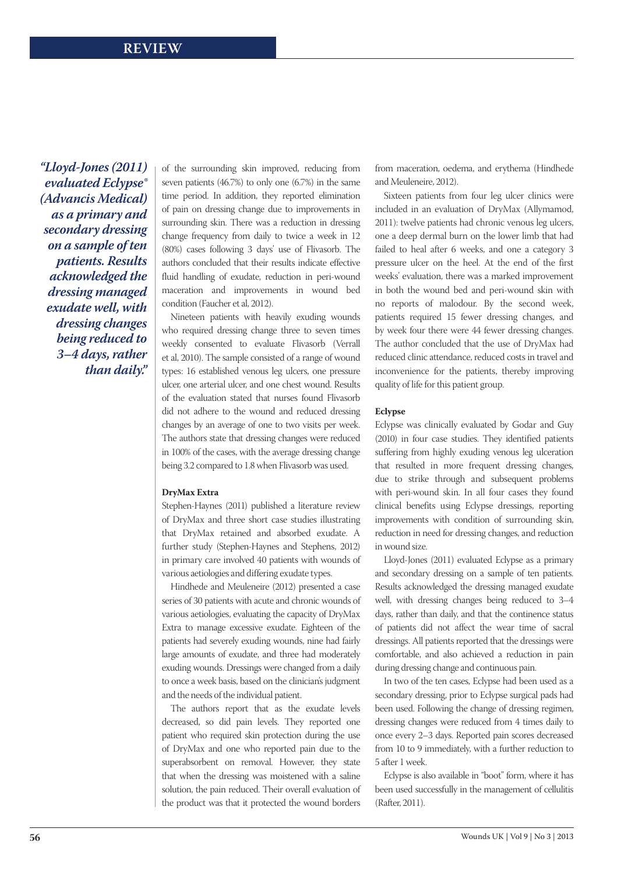*"Lloyd-Jones (2011) evaluated Eclypse® (Advancis Medical) as a primary and secondary dressing on a sample of ten patients. Results acknowledged the dressing managed exudate well, with dressing changes being reduced to 3–4 days, rather than daily."*

of the surrounding skin improved, reducing from seven patients (46.7%) to only one (6.7%) in the same time period. In addition, they reported elimination of pain on dressing change due to improvements in surrounding skin. There was a reduction in dressing change frequency from daily to twice a week in 12 (80%) cases following 3 days' use of Flivasorb. The authors concluded that their results indicate effective fluid handling of exudate, reduction in peri-wound maceration and improvements in wound bed condition (Faucher et al, 2012).

Nineteen patients with heavily exuding wounds who required dressing change three to seven times weekly consented to evaluate Flivasorb (Verrall et al, 2010). The sample consisted of a range of wound types: 16 established venous leg ulcers, one pressure ulcer, one arterial ulcer, and one chest wound. Results of the evaluation stated that nurses found Flivasorb did not adhere to the wound and reduced dressing changes by an average of one to two visits per week. The authors state that dressing changes were reduced in 100% of the cases, with the average dressing change being 3.2 compared to 1.8 when Flivasorb was used.

# **DryMax Extra**

Stephen-Haynes (2011) published a literature review of DryMax and three short case studies illustrating that DryMax retained and absorbed exudate. A further study (Stephen-Haynes and Stephens, 2012) in primary care involved 40 patients with wounds of various aetiologies and differing exudate types.

Hindhede and Meuleneire (2012) presented a case series of 30 patients with acute and chronic wounds of various aetiologies, evaluating the capacity of DryMax Extra to manage excessive exudate. Eighteen of the patients had severely exuding wounds, nine had fairly large amounts of exudate, and three had moderately exuding wounds. Dressings were changed from a daily to once a week basis, based on the clinician's judgment and the needs of the individual patient.

The authors report that as the exudate levels decreased, so did pain levels. They reported one patient who required skin protection during the use of DryMax and one who reported pain due to the superabsorbent on removal. However, they state that when the dressing was moistened with a saline solution, the pain reduced. Their overall evaluation of the product was that it protected the wound borders from maceration, oedema, and erythema (Hindhede and Meuleneire, 2012).

Sixteen patients from four leg ulcer clinics were included in an evaluation of DryMax (Allymamod, 2011): twelve patients had chronic venous leg ulcers, one a deep dermal burn on the lower limb that had failed to heal after 6 weeks, and one a category 3 pressure ulcer on the heel. At the end of the first weeks' evaluation, there was a marked improvement in both the wound bed and peri-wound skin with no reports of malodour. By the second week, patients required 15 fewer dressing changes, and by week four there were 44 fewer dressing changes. The author concluded that the use of DryMax had reduced clinic attendance, reduced costs in travel and inconvenience for the patients, thereby improving quality of life for this patient group.

#### **Eclypse**

Eclypse was clinically evaluated by Godar and Guy (2010) in four case studies. They identified patients suffering from highly exuding venous leg ulceration that resulted in more frequent dressing changes, due to strike through and subsequent problems with peri-wound skin. In all four cases they found clinical benefits using Eclypse dressings, reporting improvements with condition of surrounding skin, reduction in need for dressing changes, and reduction in wound size.

Lloyd-Jones (2011) evaluated Eclypse as a primary and secondary dressing on a sample of ten patients. Results acknowledged the dressing managed exudate well, with dressing changes being reduced to 3–4 days, rather than daily, and that the continence status of patients did not affect the wear time of sacral dressings. All patients reported that the dressings were comfortable, and also achieved a reduction in pain during dressing change and continuous pain.

In two of the ten cases, Eclypse had been used as a secondary dressing, prior to Eclypse surgical pads had been used. Following the change of dressing regimen, dressing changes were reduced from 4 times daily to once every 2–3 days. Reported pain scores decreased from 10 to 9 immediately, with a further reduction to 5 after 1 week.

Eclypse is also available in "boot" form, where it has been used successfully in the management of cellulitis (Rafter, 2011).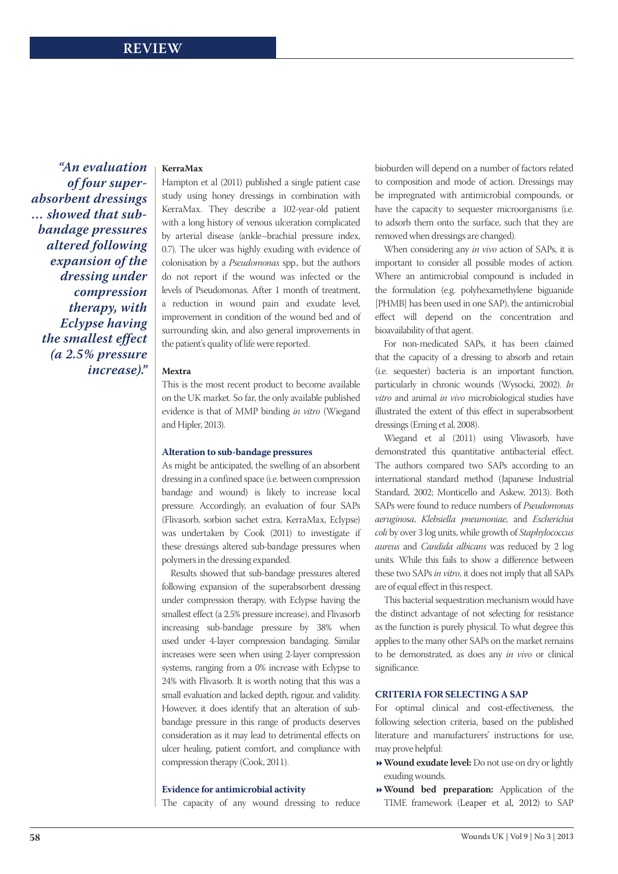*"An evaluation of four superabsorbent dressings … showed that subbandage pressures altered following expansion of the dressing under compression therapy, with Eclypse having the smallest effect (a 2.5% pressure increase)."*

#### **KerraMax**

Hampton et al (2011) published a single patient case study using honey dressings in combination with KerraMax. They describe a 102-year-old patient with a long history of venous ulceration complicated by arterial disease (ankle–brachial pressure index, 0.7). The ulcer was highly exuding with evidence of colonisation by a *Pseudomonas* spp., but the authors do not report if the wound was infected or the levels of Pseudomonas. After 1 month of treatment, a reduction in wound pain and exudate level, improvement in condition of the wound bed and of surrounding skin, and also general improvements in the patient's quality of life were reported.

#### **Mextra**

This is the most recent product to become available on the UK market. So far, the only available published evidence is that of MMP binding *in vitro* (Wiegand and Hipler, 2013).

#### **Alteration to sub-bandage pressures**

As might be anticipated, the swelling of an absorbent dressing in a confined space (i.e. between compression bandage and wound) is likely to increase local pressure. Accordingly, an evaluation of four SAPs (Flivasorb, sorbion sachet extra, KerraMax, Eclypse) was undertaken by Cook (2011) to investigate if these dressings altered sub-bandage pressures when polymers in the dressing expanded.

Results showed that sub-bandage pressures altered following expansion of the superabsorbent dressing under compression therapy, with Eclypse having the smallest effect (a 2.5% pressure increase), and Flivasorb increasing sub-bandage pressure by 38% when used under 4-layer compression bandaging. Similar increases were seen when using 2-layer compression systems, ranging from a 0% increase with Eclypse to 24% with Flivasorb. It is worth noting that this was a small evaluation and lacked depth, rigour, and validity. However, it does identify that an alteration of subbandage pressure in this range of products deserves consideration as it may lead to detrimental effects on ulcer healing, patient comfort, and compliance with compression therapy (Cook, 2011).

#### **Evidence for antimicrobial activity**

The capacity of any wound dressing to reduce

bioburden will depend on a number of factors related to composition and mode of action. Dressings may be impregnated with antimicrobial compounds, or have the capacity to sequester microorganisms (i.e. to adsorb them onto the surface, such that they are removed when dressings are changed).

When considering any *in vivo* action of SAPs, it is important to consider all possible modes of action. Where an antimicrobial compound is included in the formulation (e.g. polyhexamethylene biguanide [PHMB] has been used in one SAP), the antimicrobial effect will depend on the concentration and bioavailability of that agent.

For non-medicated SAPs, it has been claimed that the capacity of a dressing to absorb and retain (i.e. sequester) bacteria is an important function, particularly in chronic wounds (Wysocki, 2002). *In vitro* and animal *in vivo* microbiological studies have illustrated the extent of this effect in superabsorbent dressings (Eming et al, 2008).

Wiegand et al (2011) using Vliwasorb, have demonstrated this quantitative antibacterial effect. The authors compared two SAPs according to an international standard method (Japanese Industrial Standard, 2002; Monticello and Askew, 2013). Both SAPs were found to reduce numbers of *Pseudomonas aeruginosa*, *Klebsiella pneumoniae*, and *Escherichia coli* by over 3 log units, while growth of *Staphylococcus aureus* and *Candida albicans* was reduced by 2 log units. While this fails to show a difference between these two SAPs *in vitro*, it does not imply that all SAPs are of equal effect in this respect.

This bacterial sequestration mechanism would have the distinct advantage of not selecting for resistance as the function is purely physical. To what degree this applies to the many other SAPs on the market remains to be demonstrated, as does any *in vivo* or clinical significance.

#### **Criteria for selecting a SAP**

For optimal clinical and cost-effectiveness, the following selection criteria, based on the published literature and manufacturers' instructions for use, may prove helpful:

- **Wound exudate level:** Do not use on dry or lightly exuding wounds.
- **Wound bed preparation:** Application of the TIME framework (Leaper et al, 2012) to SAP